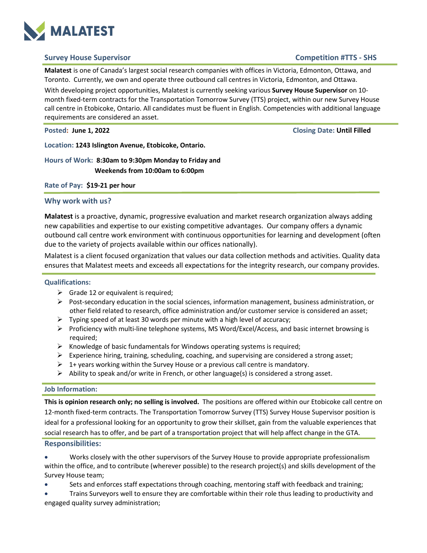

# **Survey House Supervisor Competition #TTS - SHS**

**Malatest** is one of Canada's largest social research companies with offices in Victoria, Edmonton, Ottawa, and Toronto. Currently, we own and operate three outbound call centres in Victoria, Edmonton, and Ottawa.

With developing project opportunities, Malatest is currently seeking various **Survey House Supervisor** on 10 month fixed-term contracts for the Transportation Tomorrow Survey (TTS) project, within our new Survey House call centre in Etobicoke, Ontario. All candidates must be fluent in English. Competencies with additional language requirements are considered an asset.

**Posted: June 1, 2022 Closing Date: Until Filled**

**Location: 1243 Islington Avenue, Etobicoke, Ontario.**

# **Hours of Work: 8:30am to 9:30pm Monday to Friday and Weekends from 10:00am to 6:00pm**

**Rate of Pay: \$19-21 per hour**

### **Why work with us?**

**Malatest** is a proactive, dynamic, progressive evaluation and market research organization always adding new capabilities and expertise to our existing competitive advantages. Our company offers a dynamic outbound call centre work environment with continuous opportunities for learning and development (often due to the variety of projects available within our offices nationally).

Malatest is a client focused organization that values our data collection methods and activities. Quality data ensures that Malatest meets and exceeds all expectations for the integrity research, our company provides.

#### **Qualifications:**

- $\triangleright$  Grade 12 or equivalent is required;
- $\triangleright$  Post-secondary education in the social sciences, information management, business administration, or other field related to research, office administration and/or customer service is considered an asset;
- $\triangleright$  Typing speed of at least 30 words per minute with a high level of accuracy;
- $\triangleright$  Proficiency with multi-line telephone systems, MS Word/Excel/Access, and basic internet browsing is required;
- $\triangleright$  Knowledge of basic fundamentals for Windows operating systems is required;
- $\triangleright$  Experience hiring, training, scheduling, coaching, and supervising are considered a strong asset;
- $\triangleright$  1+ years working within the Survey House or a previous call centre is mandatory.
- $\triangleright$  Ability to speak and/or write in French, or other language(s) is considered a strong asset.

#### **Job Information:**

**This is opinion research only; no selling is involved.** The positions are offered within our Etobicoke call centre on 12-month fixed-term contracts. The Transportation Tomorrow Survey (TTS) Survey House Supervisor position is ideal for a professional looking for an opportunity to grow their skillset, gain from the valuable experiences that social research has to offer, and be part of a transportation project that will help affect change in the GTA.

#### **Responsibilities:**

• Works closely with the other supervisors of the Survey House to provide appropriate professionalism within the office, and to contribute (wherever possible) to the research project(s) and skills development of the Survey House team;

• Sets and enforces staff expectations through coaching, mentoring staff with feedback and training;

• Trains Surveyors well to ensure they are comfortable within their role thus leading to productivity and engaged quality survey administration;